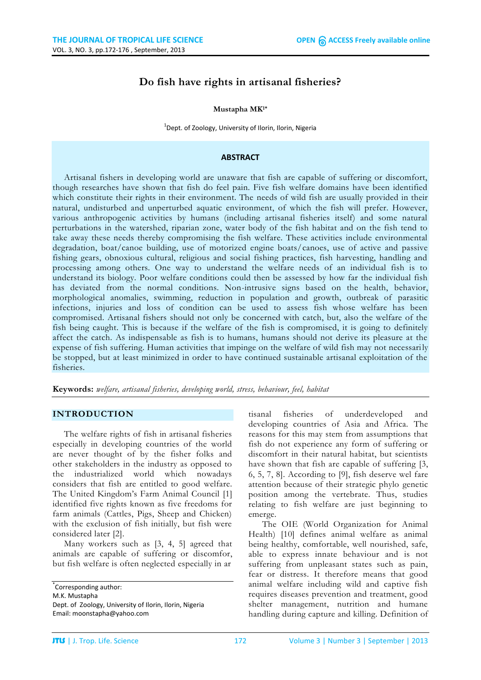# **Do fish have rights in artisanal fisheries?**

#### **Mustapha MK1\***

<sup>1</sup>Dept. of Zoology, University of Ilorin, Ilorin, Nigeria

#### **ABSTRACT**

Artisanal fishers in developing world are unaware that fish are capable of suffering or discomfort, though researches have shown that fish do feel pain. Five fish welfare domains have been identified which constitute their rights in their environment. The needs of wild fish are usually provided in their natural, undisturbed and unperturbed aquatic environment, of which the fish will prefer. However, various anthropogenic activities by humans (including artisanal fisheries itself) and some natural perturbations in the watershed, riparian zone, water body of the fish habitat and on the fish tend to take away these needs thereby compromising the fish welfare. These activities include environmental degradation, boat/canoe building, use of motorized engine boats/canoes, use of active and passive fishing gears, obnoxious cultural, religious and social fishing practices, fish harvesting, handling and processing among others. One way to understand the welfare needs of an individual fish is to understand its biology. Poor welfare conditions could then be assessed by how far the individual fish has deviated from the normal conditions. Non-intrusive signs based on the health, behavior, morphological anomalies, swimming, reduction in population and growth, outbreak of parasitic infections, injuries and loss of condition can be used to assess fish whose welfare has been compromised. Artisanal fishers should not only be concerned with catch, but, also the welfare of the fish being caught. This is because if the welfare of the fish is compromised, it is going to definitely affect the catch. As indispensable as fish is to humans, humans should not derive its pleasure at the expense of fish suffering. Human activities that impinge on the welfare of wild fish may not necessarily be stopped, but at least minimized in order to have continued sustainable artisanal exploitation of the fisheries.

**Keywords:** *welfare, artisanal fisheries, developing world, stress, behaviour, feel, habitat*

#### **INTRODUCTION**

The welfare rights of fish in artisanal fisheries especially in developing countries of the world are never thought of by the fisher folks and other stakeholders in the industry as opposed to the industrialized world which nowadays considers that fish are entitled to good welfare. The United Kingdom's Farm Animal Council [1] identified five rights known as five freedoms for farm animals (Cattles, Pigs, Sheep and Chicken) with the exclusion of fish initially, but fish were considered later [2].

Many workers such as [3, 4, 5] agreed that animals are capable of suffering or discomfor, but fish welfare is often neglected especially in ar

tisanal fisheries of underdeveloped and developing countries of Asia and Africa. The reasons for this may stem from assumptions that fish do not experience any form of suffering or discomfort in their natural habitat, but scientists have shown that fish are capable of suffering [3, 6, 5, 7, 8]. According to [9], fish deserve wel fare attention because of their strategic phylo genetic position among the vertebrate. Thus, studies relating to fish welfare are just beginning to emerge.

The OIE (World Organization for Animal Health) [10] defines animal welfare as animal being healthy, comfortable, well nourished, safe, able to express innate behaviour and is not suffering from unpleasant states such as pain, fear or distress. It therefore means that good animal welfare including wild and captive fish requires diseases prevention and treatment, good shelter management, nutrition and humane handling during capture and killing. Definition of

<sup>\*</sup> Corresponding author: M.K. Mustapha Dept. of Zoology, University of Ilorin, Ilorin, Nigeria Email: moonstapha@yahoo.com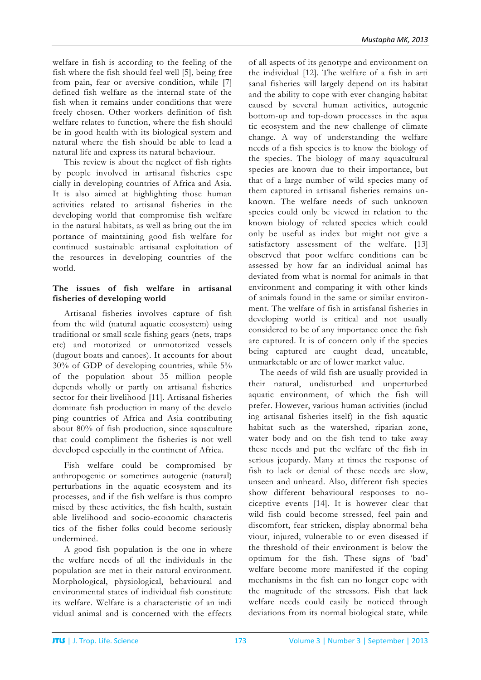welfare in fish is according to the feeling of the fish where the fish should feel well [5], being free from pain, fear or aversive condition, while [7] defined fish welfare as the internal state of the fish when it remains under conditions that were freely chosen. Other workers definition of fish welfare relates to function, where the fish should be in good health with its biological system and natural where the fish should be able to lead a natural life and express its natural behaviour.

This review is about the neglect of fish rights by people involved in artisanal fisheries espe cially in developing countries of Africa and Asia. It is also aimed at highlighting those human activities related to artisanal fisheries in the developing world that compromise fish welfare in the natural habitats, as well as bring out the im portance of maintaining good fish welfare for continued sustainable artisanal exploitation of the resources in developing countries of the world.

### **The issues of fish welfare in artisanal fisheries of developing world**

Artisanal fisheries involves capture of fish from the wild (natural aquatic ecosystem) using traditional or small scale fishing gears (nets, traps etc) and motorized or unmotorized vessels (dugout boats and canoes). It accounts for about 30% of GDP of developing countries, while 5% of the population about 35 million people depends wholly or partly on artisanal fisheries sector for their livelihood [11]. Artisanal fisheries dominate fish production in many of the develo ping countries of Africa and Asia contributing about 80% of fish production, since aquaculture that could compliment the fisheries is not well developed especially in the continent of Africa.

Fish welfare could be compromised by anthropogenic or sometimes autogenic (natural) perturbations in the aquatic ecosystem and its processes, and if the fish welfare is thus compro mised by these activities, the fish health, sustain able livelihood and socio-economic characteris tics of the fisher folks could become seriously undermined.

A good fish population is the one in where the welfare needs of all the individuals in the population are met in their natural environment. Morphological, physiological, behavioural and environmental states of individual fish constitute its welfare. Welfare is a characteristic of an indi vidual animal and is concerned with the effects of all aspects of its genotype and environment on the individual [12]. The welfare of a fish in arti sanal fisheries will largely depend on its habitat and the ability to cope with ever changing habitat caused by several human activities, autogenic bottom-up and top-down processes in the aqua tic ecosystem and the new challenge of climate change. A way of understanding the welfare needs of a fish species is to know the biology of the species. The biology of many aquacultural species are known due to their importance, but that of a large number of wild species many of them captured in artisanal fisheries remains unknown. The welfare needs of such unknown species could only be viewed in relation to the known biology of related species which could only be useful as index but might not give a satisfactory assessment of the welfare. [13] observed that poor welfare conditions can be assessed by how far an individual animal has deviated from what is normal for animals in that environment and comparing it with other kinds of animals found in the same or similar environment. The welfare of fish in artisfanal fisheries in developing world is critical and not usually considered to be of any importance once the fish are captured. It is of concern only if the species being captured are caught dead, uneatable, unmarketable or are of lower market value.

The needs of wild fish are usually provided in their natural, undisturbed and unperturbed aquatic environment, of which the fish will prefer. However, various human activities (includ ing artisanal fisheries itself) in the fish aquatic habitat such as the watershed, riparian zone, water body and on the fish tend to take away these needs and put the welfare of the fish in serious jeopardy. Many at times the response of fish to lack or denial of these needs are slow, unseen and unheard. Also, different fish species show different behavioural responses to nociceptive events [14]. It is however clear that wild fish could become stressed, feel pain and discomfort, fear stricken, display abnormal beha viour, injured, vulnerable to or even diseased if the threshold of their environment is below the optimum for the fish. These signs of 'bad' welfare become more manifested if the coping mechanisms in the fish can no longer cope with the magnitude of the stressors. Fish that lack welfare needs could easily be noticed through deviations from its normal biological state, while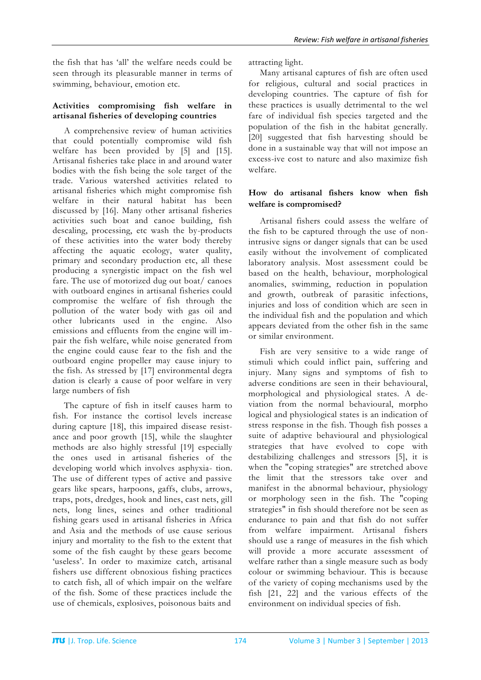the fish that has 'all' the welfare needs could be seen through its pleasurable manner in terms of swimming, behaviour, emotion etc.

#### **Activities compromising fish welfare in artisanal fisheries of developing countries**

A comprehensive review of human activities that could potentially compromise wild fish welfare has been provided by [5] and [15]. Artisanal fisheries take place in and around water bodies with the fish being the sole target of the trade. Various watershed activities related to artisanal fisheries which might compromise fish welfare in their natural habitat has been discussed by [16]. Many other artisanal fisheries activities such boat and canoe building, fish descaling, processing, etc wash the by-products of these activities into the water body thereby affecting the aquatic ecology, water quality, primary and secondary production etc, all these producing a synergistic impact on the fish wel fare. The use of motorized dug out boat/ canoes with outboard engines in artisanal fisheries could compromise the welfare of fish through the pollution of the water body with gas oil and other lubricants used in the engine. Also emissions and effluents from the engine will impair the fish welfare, while noise generated from the engine could cause fear to the fish and the outboard engine propeller may cause injury to the fish. As stressed by [17] environmental degra dation is clearly a cause of poor welfare in very large numbers of fish

The capture of fish in itself causes harm to fish. For instance the cortisol levels increase during capture [18], this impaired disease resistance and poor growth [15], while the slaughter methods are also highly stressful [19] especially the ones used in artisanal fisheries of the developing world which involves asphyxia- tion. The use of different types of active and passive gears like spears, harpoons, gaffs, clubs, arrows, traps, pots, dredges, hook and lines, cast nets, gill nets, long lines, seines and other traditional fishing gears used in artisanal fisheries in Africa and Asia and the methods of use cause serious injury and mortality to the fish to the extent that some of the fish caught by these gears become 'useless'. In order to maximize catch, artisanal fishers use different obnoxious fishing practices to catch fish, all of which impair on the welfare of the fish. Some of these practices include the use of chemicals, explosives, poisonous baits and

attracting light.

Many artisanal captures of fish are often used for religious, cultural and social practices in developing countries. The capture of fish for these practices is usually detrimental to the wel fare of individual fish species targeted and the population of the fish in the habitat generally. [20] suggested that fish harvesting should be done in a sustainable way that will not impose an excess-ive cost to nature and also maximize fish welfare.

## **How do artisanal fishers know when fish welfare is compromised?**

Artisanal fishers could assess the welfare of the fish to be captured through the use of nonintrusive signs or danger signals that can be used easily without the involvement of complicated laboratory analysis. Most assessment could be based on the health, behaviour, morphological anomalies, swimming, reduction in population and growth, outbreak of parasitic infections, injuries and loss of condition which are seen in the individual fish and the population and which appears deviated from the other fish in the same or similar environment.

Fish are very sensitive to a wide range of stimuli which could inflict pain, suffering and injury. Many signs and symptoms of fish to adverse conditions are seen in their behavioural, morphological and physiological states. A deviation from the normal behavioural, morpho logical and physiological states is an indication of stress response in the fish. Though fish posses a suite of adaptive behavioural and physiological strategies that have evolved to cope with destabilizing challenges and stressors [5], it is when the "coping strategies" are stretched above the limit that the stressors take over and manifest in the abnormal behaviour, physiology or morphology seen in the fish. The "coping strategies" in fish should therefore not be seen as endurance to pain and that fish do not suffer from welfare impairment. Artisanal fishers should use a range of measures in the fish which will provide a more accurate assessment of welfare rather than a single measure such as body colour or swimming behaviour. This is because of the variety of coping mechanisms used by the fish [21, 22] and the various effects of the environment on individual species of fish.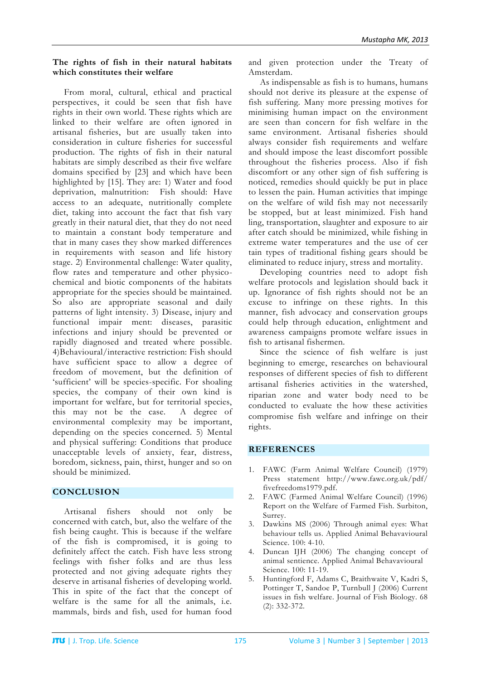#### **The rights of fish in their natural habitats which constitutes their welfare**

From moral, cultural, ethical and practical perspectives, it could be seen that fish have rights in their own world. These rights which are linked to their welfare are often ignored in artisanal fisheries, but are usually taken into consideration in culture fisheries for successful production. The rights of fish in their natural habitats are simply described as their five welfare domains specified by [23] and which have been highlighted by [15]. They are: 1) Water and food deprivation, malnutrition: Fish should: Have access to an adequate, nutritionally complete diet, taking into account the fact that fish vary greatly in their natural diet, that they do not need to maintain a constant body temperature and that in many cases they show marked differences in requirements with season and life history stage. 2) Environmental challenge: Water quality, flow rates and temperature and other physicochemical and biotic components of the habitats appropriate for the species should be maintained. So also are appropriate seasonal and daily patterns of light intensity. 3) Disease, injury and functional impair ment: diseases, parasitic infections and injury should be prevented or rapidly diagnosed and treated where possible. 4)Behavioural/interactive restriction: Fish should have sufficient space to allow a degree of freedom of movement, but the definition of 'sufficient' will be species-specific. For shoaling species, the company of their own kind is important for welfare, but for territorial species, this may not be the case. A degree of environmental complexity may be important, depending on the species concerned. 5) Mental and physical suffering: Conditions that produce unacceptable levels of anxiety, fear, distress, boredom, sickness, pain, thirst, hunger and so on should be minimized.

### **CONCLUSION**

Artisanal fishers should not only be concerned with catch, but, also the welfare of the fish being caught. This is because if the welfare of the fish is compromised, it is going to definitely affect the catch. Fish have less strong feelings with fisher folks and are thus less protected and not giving adequate rights they deserve in artisanal fisheries of developing world. This in spite of the fact that the concept of welfare is the same for all the animals, i.e. mammals, birds and fish, used for human food

and given protection under the Treaty of Amsterdam.

As indispensable as fish is to humans, humans should not derive its pleasure at the expense of fish suffering. Many more pressing motives for minimising human impact on the environment are seen than concern for fish welfare in the same environment. Artisanal fisheries should always consider fish requirements and welfare and should impose the least discomfort possible throughout the fisheries process. Also if fish discomfort or any other sign of fish suffering is noticed, remedies should quickly be put in place to lessen the pain. Human activities that impinge on the welfare of wild fish may not necessarily be stopped, but at least minimized. Fish hand ling, transportation, slaughter and exposure to air after catch should be minimized, while fishing in extreme water temperatures and the use of cer tain types of traditional fishing gears should be eliminated to reduce injury, stress and mortality.

Developing countries need to adopt fish welfare protocols and legislation should back it up. Ignorance of fish rights should not be an excuse to infringe on these rights. In this manner, fish advocacy and conservation groups could help through education, enlightment and awareness campaigns promote welfare issues in fish to artisanal fishermen.

Since the science of fish welfare is just beginning to emerge, researches on behavioural responses of different species of fish to different artisanal fisheries activities in the watershed, riparian zone and water body need to be conducted to evaluate the how these activities compromise fish welfare and infringe on their rights.

### **REFERENCES**

- 1. FAWC (Farm Animal Welfare Council) (1979) Press statement <http://www.fawc.org.uk/pdf/> fivefreedoms1979.pdf.
- 2. FAWC (Farmed Animal Welfare Council) (1996) Report on the Welfare of Farmed Fish. Surbiton, Surrey.
- 3. Dawkins MS (2006) Through animal eyes: What behaviour tells us. Applied Animal Behavavioural Science. 100: 4-10.
- 4. Duncan IJH (2006) The changing concept of animal sentience. Applied Animal Behavavioural Science. 100: 11-19.
- 5. Huntingford F, Adams C, Braithwaite V, Kadri S, Pottinger T, Sandoe P, Turnbull J (2006) Current issues in fish welfare. Journal of Fish Biology. 68 (2): 332-372.